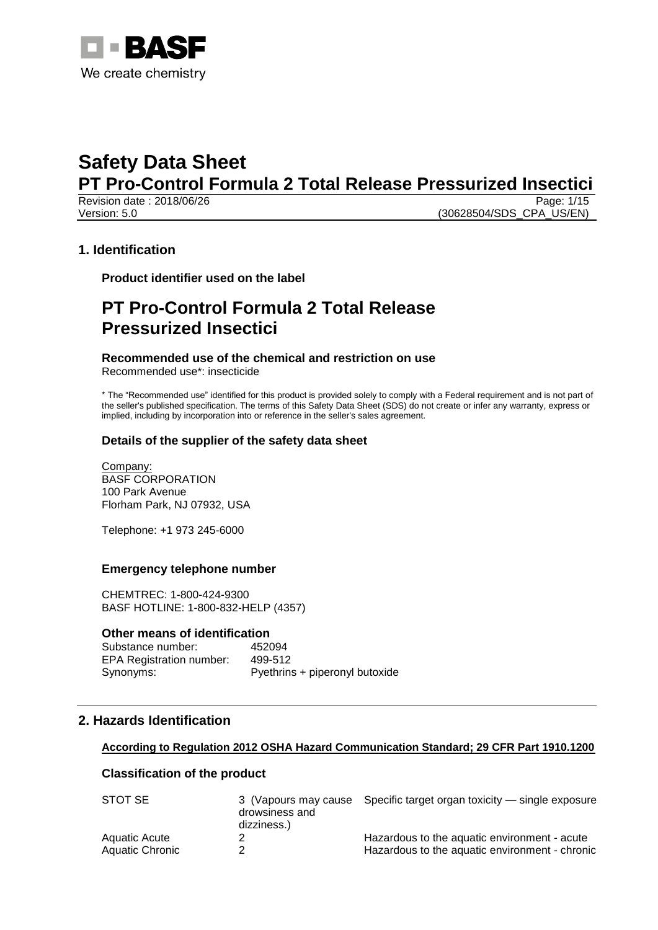

Revision date: 2018/06/26

Version: 5.0 (30628504/SDS\_CPA\_US/EN)

## **1. Identification**

**Product identifier used on the label**

# **PT Pro-Control Formula 2 Total Release Pressurized Insectici**

#### **Recommended use of the chemical and restriction on use**

Recommended use\*: insecticide

\* The "Recommended use" identified for this product is provided solely to comply with a Federal requirement and is not part of the seller's published specification. The terms of this Safety Data Sheet (SDS) do not create or infer any warranty, express or implied, including by incorporation into or reference in the seller's sales agreement.

#### **Details of the supplier of the safety data sheet**

Company: BASF CORPORATION 100 Park Avenue Florham Park, NJ 07932, USA

Telephone: +1 973 245-6000

#### **Emergency telephone number**

CHEMTREC: 1-800-424-9300 BASF HOTLINE: 1-800-832-HELP (4357)

#### **Other means of identification**

Substance number: 452094 EPA Registration number: 499-512 Synonyms: Pyethrins + piperonyl butoxide

# **2. Hazards Identification**

#### **According to Regulation 2012 OSHA Hazard Communication Standard; 29 CFR Part 1910.1200**

#### **Classification of the product**

| STOT SE         | drowsiness and<br>dizziness.) | 3 (Vapours may cause Specific target organ toxicity — single exposure |
|-----------------|-------------------------------|-----------------------------------------------------------------------|
| Aquatic Acute   |                               | Hazardous to the aquatic environment - acute                          |
| Aquatic Chronic |                               | Hazardous to the aquatic environment - chronic                        |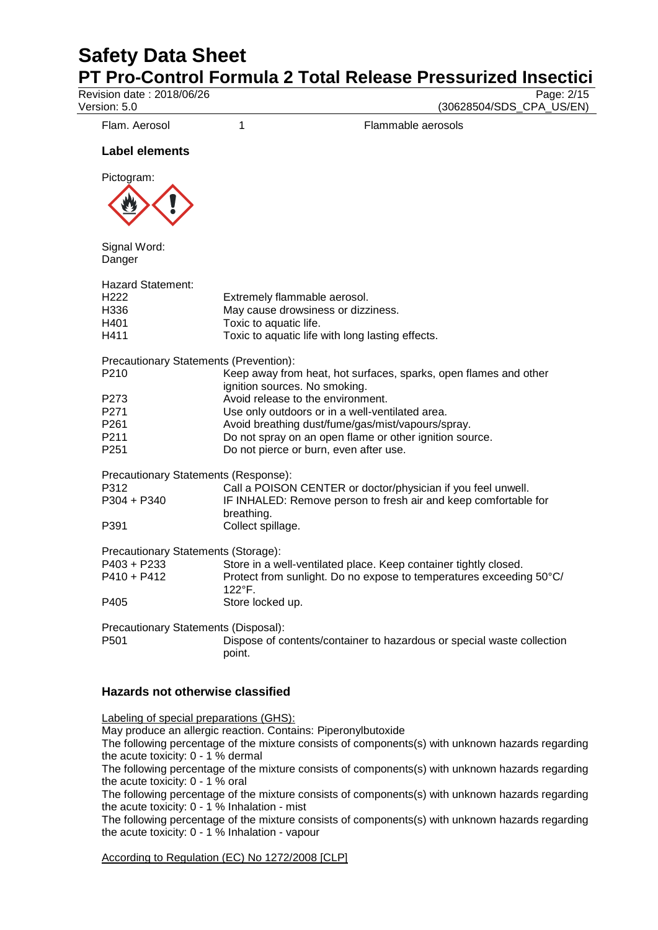# **Safety Data Sheet**

**PT Pro-Control Formula 2 Total Release Pressurized Insectici**<br>Revision date : 2018/06/26

Revision date : 2018/06/26<br>Version: 5.0

(30628504/SDS\_CPA\_US/EN)

Flam. Aerosol 1 1 Flammable aerosols

### **Label elements**



Signal Word: Danger

| <b>Hazard Statement:</b><br>H <sub>222</sub><br>H336<br>H401<br>H411 | Extremely flammable aerosol.<br>May cause drowsiness or dizziness.<br>Toxic to aquatic life.<br>Toxic to aquatic life with long lasting effects.            |
|----------------------------------------------------------------------|-------------------------------------------------------------------------------------------------------------------------------------------------------------|
| Precautionary Statements (Prevention):                               |                                                                                                                                                             |
| P <sub>210</sub>                                                     | Keep away from heat, hot surfaces, sparks, open flames and other<br>ignition sources. No smoking.                                                           |
| P <sub>273</sub>                                                     | Avoid release to the environment.                                                                                                                           |
| P271                                                                 | Use only outdoors or in a well-ventilated area.                                                                                                             |
| P <sub>261</sub>                                                     | Avoid breathing dust/fume/gas/mist/vapours/spray.                                                                                                           |
| P <sub>211</sub>                                                     | Do not spray on an open flame or other ignition source.                                                                                                     |
| P <sub>251</sub>                                                     | Do not pierce or burn, even after use.                                                                                                                      |
| Precautionary Statements (Response):<br>P312<br>P304 + P340          | Call a POISON CENTER or doctor/physician if you feel unwell.<br>IF INHALED: Remove person to fresh air and keep comfortable for                             |
| P391                                                                 | breathing.<br>Collect spillage.                                                                                                                             |
| Precautionary Statements (Storage):<br>P403 + P233<br>$P410 + P412$  | Store in a well-ventilated place. Keep container tightly closed.<br>Protect from sunlight. Do no expose to temperatures exceeding 50°C/<br>$122^{\circ}$ F. |
| P405                                                                 | Store locked up.                                                                                                                                            |
| Precautionary Statements (Disposal):<br>P <sub>501</sub>             | Dispose of contents/container to hazardous or special waste collection<br>point.                                                                            |

#### **Hazards not otherwise classified**

Labeling of special preparations (GHS):

May produce an allergic reaction. Contains: Piperonylbutoxide

The following percentage of the mixture consists of components(s) with unknown hazards regarding the acute toxicity: 0 - 1 % dermal

The following percentage of the mixture consists of components(s) with unknown hazards regarding the acute toxicity: 0 - 1 % oral

The following percentage of the mixture consists of components(s) with unknown hazards regarding the acute toxicity: 0 - 1 % Inhalation - mist

The following percentage of the mixture consists of components(s) with unknown hazards regarding the acute toxicity: 0 - 1 % Inhalation - vapour

#### According to Regulation (EC) No 1272/2008 [CLP]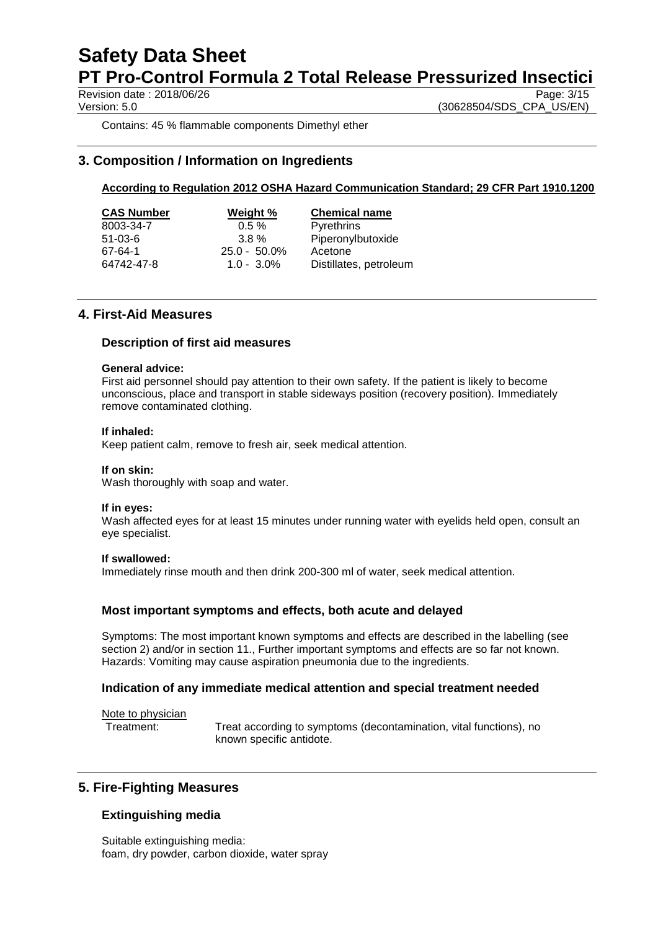Revision date: 2018/06/26

Version: 5.0 (30628504/SDS\_CPA\_US/EN)

Contains: 45 % flammable components Dimethyl ether

# **3. Composition / Information on Ingredients**

### **According to Regulation 2012 OSHA Hazard Communication Standard; 29 CFR Part 1910.1200**

| <b>CAS Number</b> | Weight %        | <b>Chemical name</b>   |
|-------------------|-----------------|------------------------|
| 8003-34-7         | $0.5 \%$        | <b>Pyrethrins</b>      |
| $51-03-6$         | $3.8\%$         | Piperonylbutoxide      |
| 67-64-1           | $25.0 - 50.0\%$ | Acetone                |
| 64742-47-8        | $1.0 - 3.0\%$   | Distillates, petroleum |

### **4. First-Aid Measures**

#### **Description of first aid measures**

#### **General advice:**

First aid personnel should pay attention to their own safety. If the patient is likely to become unconscious, place and transport in stable sideways position (recovery position). Immediately remove contaminated clothing.

#### **If inhaled:**

Keep patient calm, remove to fresh air, seek medical attention.

#### **If on skin:**

Wash thoroughly with soap and water.

#### **If in eyes:**

Wash affected eyes for at least 15 minutes under running water with eyelids held open, consult an eye specialist.

#### **If swallowed:**

Immediately rinse mouth and then drink 200-300 ml of water, seek medical attention.

#### **Most important symptoms and effects, both acute and delayed**

Symptoms: The most important known symptoms and effects are described in the labelling (see section 2) and/or in section 11., Further important symptoms and effects are so far not known. Hazards: Vomiting may cause aspiration pneumonia due to the ingredients.

#### **Indication of any immediate medical attention and special treatment needed**

Note to physician

Treatment: Treat according to symptoms (decontamination, vital functions), no known specific antidote.

## **5. Fire-Fighting Measures**

#### **Extinguishing media**

Suitable extinguishing media: foam, dry powder, carbon dioxide, water spray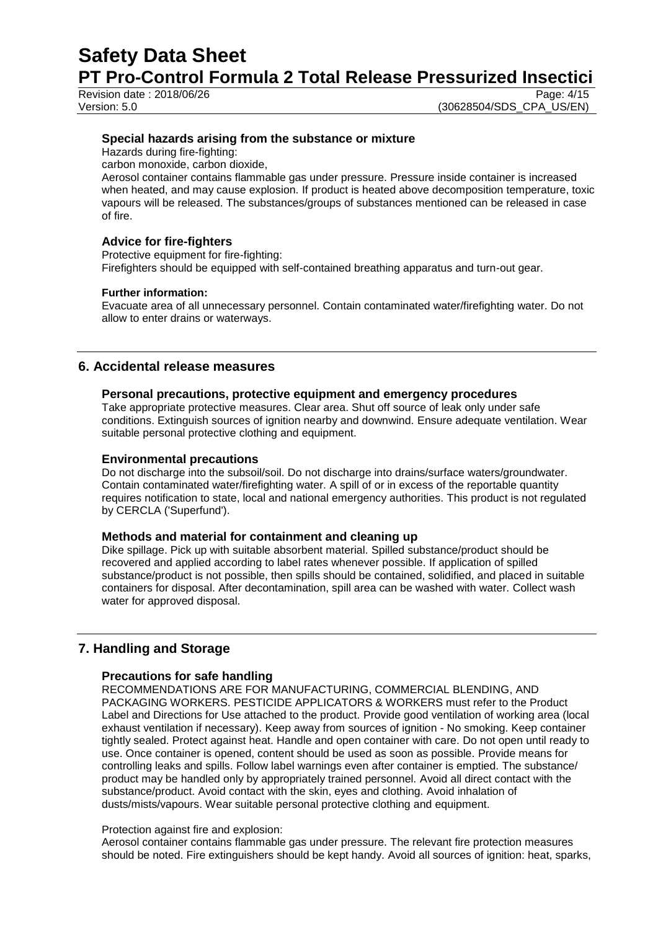Revision date  $: 2018/06/26$ 

Version: 5.0 (30628504/SDS\_CPA\_US/EN)

#### **Special hazards arising from the substance or mixture**

Hazards during fire-fighting:

carbon monoxide, carbon dioxide,

Aerosol container contains flammable gas under pressure. Pressure inside container is increased when heated, and may cause explosion. If product is heated above decomposition temperature, toxic vapours will be released. The substances/groups of substances mentioned can be released in case of fire.

#### **Advice for fire-fighters**

Protective equipment for fire-fighting: Firefighters should be equipped with self-contained breathing apparatus and turn-out gear.

#### **Further information:**

Evacuate area of all unnecessary personnel. Contain contaminated water/firefighting water. Do not allow to enter drains or waterways.

### **6. Accidental release measures**

#### **Personal precautions, protective equipment and emergency procedures**

Take appropriate protective measures. Clear area. Shut off source of leak only under safe conditions. Extinguish sources of ignition nearby and downwind. Ensure adequate ventilation. Wear suitable personal protective clothing and equipment.

#### **Environmental precautions**

Do not discharge into the subsoil/soil. Do not discharge into drains/surface waters/groundwater. Contain contaminated water/firefighting water. A spill of or in excess of the reportable quantity requires notification to state, local and national emergency authorities. This product is not regulated by CERCLA ('Superfund').

#### **Methods and material for containment and cleaning up**

Dike spillage. Pick up with suitable absorbent material. Spilled substance/product should be recovered and applied according to label rates whenever possible. If application of spilled substance/product is not possible, then spills should be contained, solidified, and placed in suitable containers for disposal. After decontamination, spill area can be washed with water. Collect wash water for approved disposal.

# **7. Handling and Storage**

#### **Precautions for safe handling**

RECOMMENDATIONS ARE FOR MANUFACTURING, COMMERCIAL BLENDING, AND PACKAGING WORKERS. PESTICIDE APPLICATORS & WORKERS must refer to the Product Label and Directions for Use attached to the product. Provide good ventilation of working area (local exhaust ventilation if necessary). Keep away from sources of ignition - No smoking. Keep container tightly sealed. Protect against heat. Handle and open container with care. Do not open until ready to use. Once container is opened, content should be used as soon as possible. Provide means for controlling leaks and spills. Follow label warnings even after container is emptied. The substance/ product may be handled only by appropriately trained personnel. Avoid all direct contact with the substance/product. Avoid contact with the skin, eyes and clothing. Avoid inhalation of dusts/mists/vapours. Wear suitable personal protective clothing and equipment.

#### Protection against fire and explosion:

Aerosol container contains flammable gas under pressure. The relevant fire protection measures should be noted. Fire extinguishers should be kept handy. Avoid all sources of ignition: heat, sparks,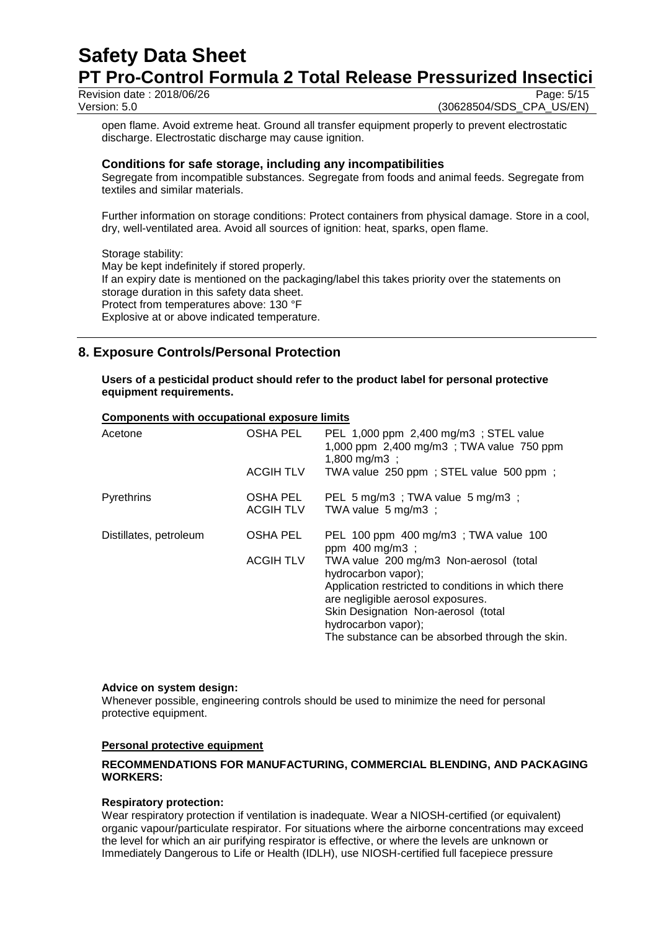Revision date: 2018/06/26 Version: 5.0 (30628504/SDS\_CPA\_US/EN)

open flame. Avoid extreme heat. Ground all transfer equipment properly to prevent electrostatic discharge. Electrostatic discharge may cause ignition.

#### **Conditions for safe storage, including any incompatibilities**

Segregate from incompatible substances. Segregate from foods and animal feeds. Segregate from textiles and similar materials.

Further information on storage conditions: Protect containers from physical damage. Store in a cool, dry, well-ventilated area. Avoid all sources of ignition: heat, sparks, open flame.

#### Storage stability:

May be kept indefinitely if stored properly. If an expiry date is mentioned on the packaging/label this takes priority over the statements on storage duration in this safety data sheet. Protect from temperatures above: 130 °F Explosive at or above indicated temperature.

# **8. Exposure Controls/Personal Protection**

**Users of a pesticidal product should refer to the product label for personal protective equipment requirements.**

#### **Components with occupational exposure limits**

| Acetone                | <b>OSHA PEL</b><br><b>ACGIH TLV</b> | PEL 1,000 ppm 2,400 mg/m3; STEL value<br>1,000 ppm 2,400 mg/m3; TWA value 750 ppm<br>1,800 mg/m3 ;<br>TWA value 250 ppm; STEL value 500 ppm;                                                                                                                                                                                         |
|------------------------|-------------------------------------|--------------------------------------------------------------------------------------------------------------------------------------------------------------------------------------------------------------------------------------------------------------------------------------------------------------------------------------|
| <b>Pyrethrins</b>      | OSHA PEL<br><b>ACGIH TLV</b>        | PEL 5 mg/m3; TWA value 5 mg/m3;<br>TWA value $5 \text{ mg/m3}$ ;                                                                                                                                                                                                                                                                     |
| Distillates, petroleum | <b>OSHA PEL</b><br><b>ACGIH TLV</b> | PEL 100 ppm 400 mg/m3; TWA value 100<br>ppm 400 mg/m3;<br>TWA value 200 mg/m3 Non-aerosol (total<br>hydrocarbon vapor);<br>Application restricted to conditions in which there<br>are negligible aerosol exposures.<br>Skin Designation Non-aerosol (total<br>hydrocarbon vapor);<br>The substance can be absorbed through the skin. |

#### **Advice on system design:**

Whenever possible, engineering controls should be used to minimize the need for personal protective equipment.

#### **Personal protective equipment**

#### **RECOMMENDATIONS FOR MANUFACTURING, COMMERCIAL BLENDING, AND PACKAGING WORKERS:**

#### **Respiratory protection:**

Wear respiratory protection if ventilation is inadequate. Wear a NIOSH-certified (or equivalent) organic vapour/particulate respirator. For situations where the airborne concentrations may exceed the level for which an air purifying respirator is effective, or where the levels are unknown or Immediately Dangerous to Life or Health (IDLH), use NIOSH-certified full facepiece pressure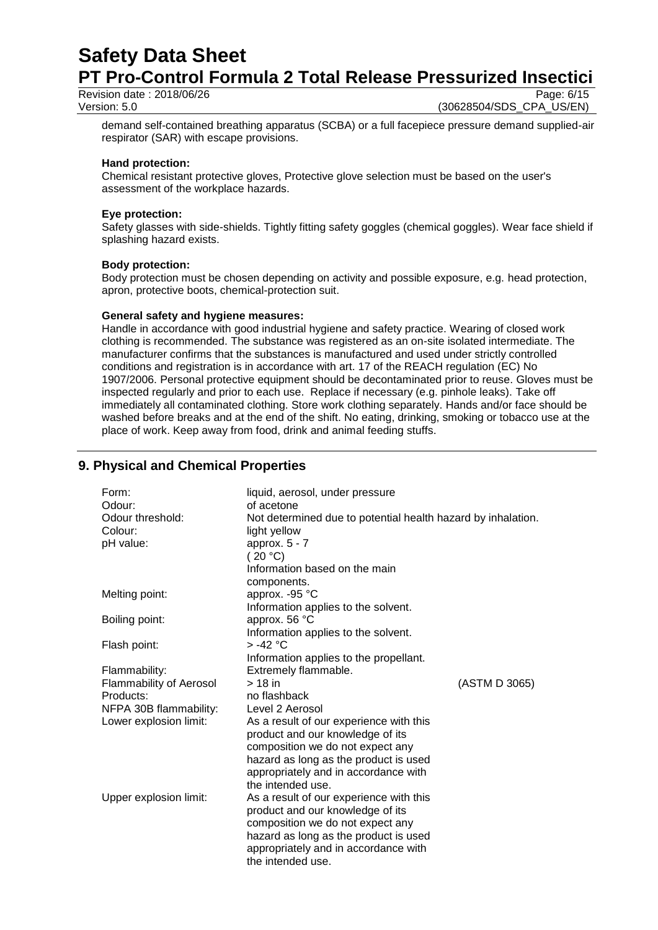Revision date: 2018/06/26 Version: 5.0 (30628504/SDS\_CPA\_US/EN)

demand self-contained breathing apparatus (SCBA) or a full facepiece pressure demand supplied-air respirator (SAR) with escape provisions.

#### **Hand protection:**

Chemical resistant protective gloves, Protective glove selection must be based on the user's assessment of the workplace hazards.

#### **Eye protection:**

Safety glasses with side-shields. Tightly fitting safety goggles (chemical goggles). Wear face shield if splashing hazard exists.

#### **Body protection:**

Body protection must be chosen depending on activity and possible exposure, e.g. head protection, apron, protective boots, chemical-protection suit.

#### **General safety and hygiene measures:**

Handle in accordance with good industrial hygiene and safety practice. Wearing of closed work clothing is recommended. The substance was registered as an on-site isolated intermediate. The manufacturer confirms that the substances is manufactured and used under strictly controlled conditions and registration is in accordance with art. 17 of the REACH regulation (EC) No 1907/2006. Personal protective equipment should be decontaminated prior to reuse. Gloves must be inspected regularly and prior to each use. Replace if necessary (e.g. pinhole leaks). Take off immediately all contaminated clothing. Store work clothing separately. Hands and/or face should be washed before breaks and at the end of the shift. No eating, drinking, smoking or tobacco use at the place of work. Keep away from food, drink and animal feeding stuffs.

# **9. Physical and Chemical Properties**

| Form:                   | liquid, aerosol, under pressure                              |               |  |
|-------------------------|--------------------------------------------------------------|---------------|--|
| Odour:                  | of acetone                                                   |               |  |
| Odour threshold:        | Not determined due to potential health hazard by inhalation. |               |  |
| Colour:                 | light yellow                                                 |               |  |
| pH value:               | approx. $5 - 7$                                              |               |  |
|                         | (20 °C)                                                      |               |  |
|                         | Information based on the main                                |               |  |
|                         | components.                                                  |               |  |
| Melting point:          | approx. -95 °C                                               |               |  |
|                         | Information applies to the solvent.                          |               |  |
| Boiling point:          | approx. 56 °C                                                |               |  |
|                         | Information applies to the solvent.                          |               |  |
| Flash point:            | $> -42$ °C                                                   |               |  |
|                         | Information applies to the propellant.                       |               |  |
| Flammability:           | Extremely flammable.                                         |               |  |
| Flammability of Aerosol | $> 18$ in                                                    | (ASTM D 3065) |  |
| Products:               | no flashback                                                 |               |  |
| NFPA 30B flammability:  | Level 2 Aerosol                                              |               |  |
| Lower explosion limit:  | As a result of our experience with this                      |               |  |
|                         | product and our knowledge of its                             |               |  |
|                         | composition we do not expect any                             |               |  |
|                         | hazard as long as the product is used                        |               |  |
|                         | appropriately and in accordance with                         |               |  |
|                         | the intended use.                                            |               |  |
| Upper explosion limit:  | As a result of our experience with this                      |               |  |
|                         | product and our knowledge of its                             |               |  |
|                         | composition we do not expect any                             |               |  |
|                         | hazard as long as the product is used                        |               |  |
|                         | appropriately and in accordance with                         |               |  |
|                         | the intended use.                                            |               |  |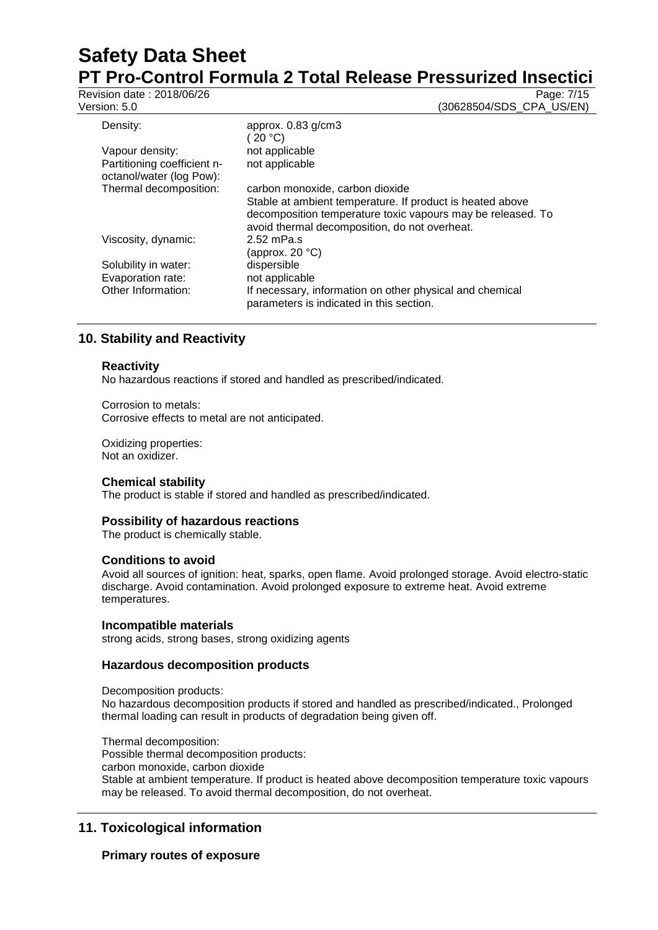Revision date : 2018/06/26<br>Version: 5.0

Version: 5.0 (30628504/SDS\_CPA\_US/EN)

| ט.ט ווטוכ                                               | <u>JUUZUJUHJUDU UI A UU</u>                                                                                                                                               |
|---------------------------------------------------------|---------------------------------------------------------------------------------------------------------------------------------------------------------------------------|
| Density:                                                | approx. $0.83$ g/cm $3$                                                                                                                                                   |
|                                                         | (20 °C)                                                                                                                                                                   |
| Vapour density:                                         | not applicable                                                                                                                                                            |
| Partitioning coefficient n-<br>octanol/water (log Pow): | not applicable                                                                                                                                                            |
| Thermal decomposition:                                  | carbon monoxide, carbon dioxide                                                                                                                                           |
|                                                         | Stable at ambient temperature. If product is heated above<br>decomposition temperature toxic vapours may be released. To<br>avoid thermal decomposition, do not overheat. |
| Viscosity, dynamic:                                     | 2.52 mPa.s<br>(approx. 20 °C)                                                                                                                                             |
| Solubility in water:                                    | dispersible                                                                                                                                                               |
| Evaporation rate:                                       | not applicable                                                                                                                                                            |
| Other Information:                                      | If necessary, information on other physical and chemical<br>parameters is indicated in this section.                                                                      |

# **10. Stability and Reactivity**

## **Reactivity**

No hazardous reactions if stored and handled as prescribed/indicated.

Corrosion to metals: Corrosive effects to metal are not anticipated.

Oxidizing properties: Not an oxidizer.

#### **Chemical stability**

The product is stable if stored and handled as prescribed/indicated.

#### **Possibility of hazardous reactions**

The product is chemically stable.

#### **Conditions to avoid**

Avoid all sources of ignition: heat, sparks, open flame. Avoid prolonged storage. Avoid electro-static discharge. Avoid contamination. Avoid prolonged exposure to extreme heat. Avoid extreme temperatures.

#### **Incompatible materials**

strong acids, strong bases, strong oxidizing agents

#### **Hazardous decomposition products**

Decomposition products: No hazardous decomposition products if stored and handled as prescribed/indicated., Prolonged thermal loading can result in products of degradation being given off.

Thermal decomposition: Possible thermal decomposition products: carbon monoxide, carbon dioxide Stable at ambient temperature. If product is heated above decomposition temperature toxic vapours may be released. To avoid thermal decomposition, do not overheat.

# **11. Toxicological information**

## **Primary routes of exposure**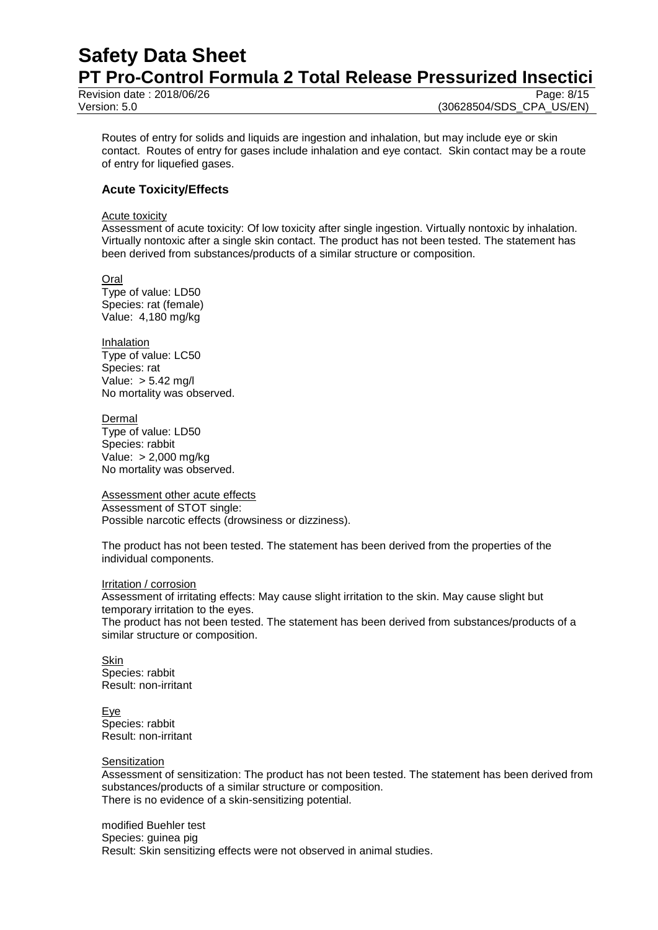# **Safety Data Sheet PT Pro-Control Formula 2 Total Release Pressurized Insectici**

Revision date : 2018/06/26

Routes of entry for solids and liquids are ingestion and inhalation, but may include eye or skin contact. Routes of entry for gases include inhalation and eye contact. Skin contact may be a route of entry for liquefied gases.

### **Acute Toxicity/Effects**

#### Acute toxicity

Assessment of acute toxicity: Of low toxicity after single ingestion. Virtually nontoxic by inhalation. Virtually nontoxic after a single skin contact. The product has not been tested. The statement has been derived from substances/products of a similar structure or composition.

**Oral** Type of value: LD50 Species: rat (female) Value: 4,180 mg/kg

Inhalation Type of value: LC50 Species: rat Value: > 5.42 mg/l No mortality was observed.

Dermal Type of value: LD50 Species: rabbit Value: > 2,000 mg/kg No mortality was observed.

Assessment other acute effects Assessment of STOT single: Possible narcotic effects (drowsiness or dizziness).

The product has not been tested. The statement has been derived from the properties of the individual components.

#### Irritation / corrosion

Assessment of irritating effects: May cause slight irritation to the skin. May cause slight but temporary irritation to the eyes.

The product has not been tested. The statement has been derived from substances/products of a similar structure or composition.

**Skin** Species: rabbit Result: non-irritant

Eye Species: rabbit Result: non-irritant

#### **Sensitization**

Assessment of sensitization: The product has not been tested. The statement has been derived from substances/products of a similar structure or composition. There is no evidence of a skin-sensitizing potential.

modified Buehler test Species: guinea pig Result: Skin sensitizing effects were not observed in animal studies.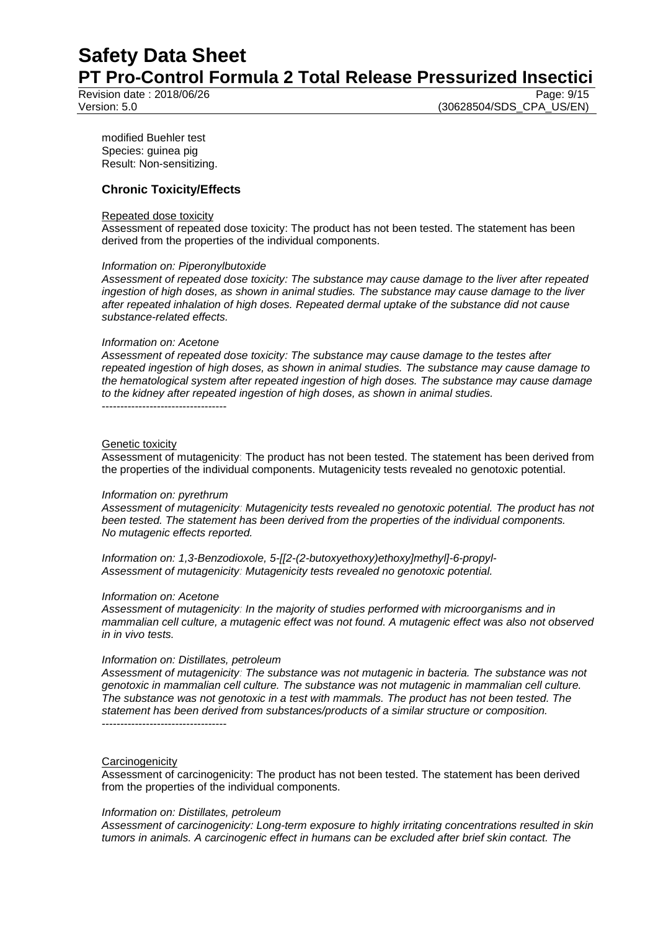Revision date  $: 2018/06/26$ 

Version: 5.0 (30628504/SDS\_CPA\_US/EN)

modified Buehler test Species: guinea pig Result: Non-sensitizing.

#### **Chronic Toxicity/Effects**

#### Repeated dose toxicity

Assessment of repeated dose toxicity: The product has not been tested. The statement has been derived from the properties of the individual components.

#### *Information on: Piperonylbutoxide*

*Assessment of repeated dose toxicity: The substance may cause damage to the liver after repeated ingestion of high doses, as shown in animal studies. The substance may cause damage to the liver after repeated inhalation of high doses. Repeated dermal uptake of the substance did not cause substance-related effects.*

#### *Information on: Acetone*

*Assessment of repeated dose toxicity: The substance may cause damage to the testes after repeated ingestion of high doses, as shown in animal studies. The substance may cause damage to the hematological system after repeated ingestion of high doses. The substance may cause damage to the kidney after repeated ingestion of high doses, as shown in animal studies.* ----------------------------------

Genetic toxicity Assessment of mutagenicity: The product has not been tested. The statement has been derived from the properties of the individual components. Mutagenicity tests revealed no genotoxic potential.

#### *Information on: pyrethrum*

*Assessment of mutagenicity: Mutagenicity tests revealed no genotoxic potential. The product has not been tested. The statement has been derived from the properties of the individual components. No mutagenic effects reported.*

*Information on: 1,3-Benzodioxole, 5-[[2-(2-butoxyethoxy)ethoxy]methyl]-6-propyl-Assessment of mutagenicity: Mutagenicity tests revealed no genotoxic potential.*

#### *Information on: Acetone*

*Assessment of mutagenicity: In the majority of studies performed with microorganisms and in mammalian cell culture, a mutagenic effect was not found. A mutagenic effect was also not observed in in vivo tests.*

#### *Information on: Distillates, petroleum*

*Assessment of mutagenicity: The substance was not mutagenic in bacteria. The substance was not genotoxic in mammalian cell culture. The substance was not mutagenic in mammalian cell culture. The substance was not genotoxic in a test with mammals. The product has not been tested. The statement has been derived from substances/products of a similar structure or composition.* ----------------------------------

#### **Carcinogenicity**

Assessment of carcinogenicity: The product has not been tested. The statement has been derived from the properties of the individual components.

#### *Information on: Distillates, petroleum*

*Assessment of carcinogenicity: Long-term exposure to highly irritating concentrations resulted in skin tumors in animals. A carcinogenic effect in humans can be excluded after brief skin contact. The*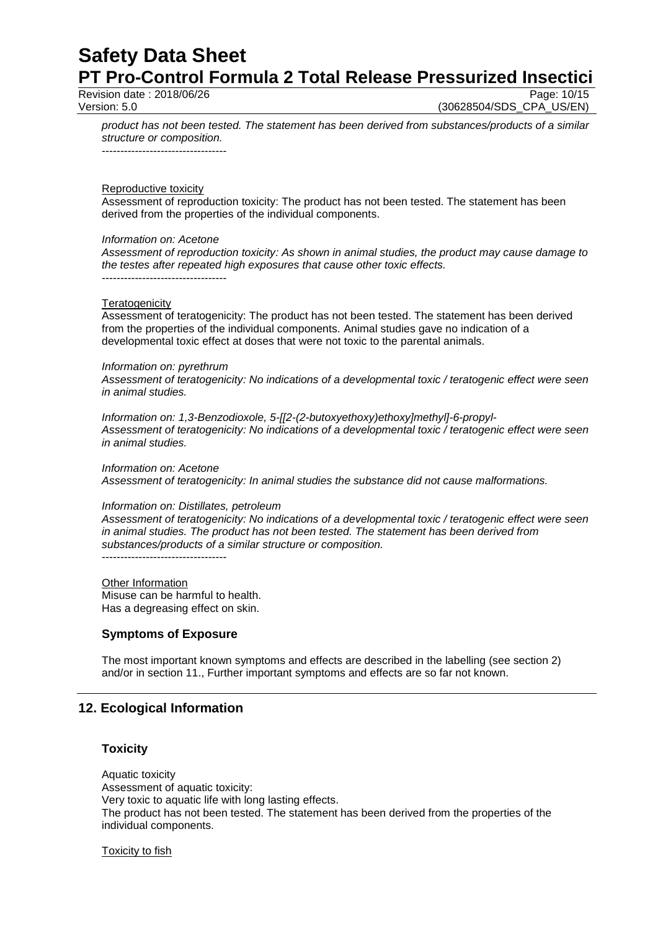Revision date: 2018/06/26

Version: 5.0 (30628504/SDS\_CPA\_US/EN)

*product has not been tested. The statement has been derived from substances/products of a similar structure or composition.*

----------------------------------

Reproductive toxicity

Assessment of reproduction toxicity: The product has not been tested. The statement has been derived from the properties of the individual components.

#### *Information on: Acetone*

*Assessment of reproduction toxicity: As shown in animal studies, the product may cause damage to the testes after repeated high exposures that cause other toxic effects.* ----------------------------------

#### **Teratogenicity**

Assessment of teratogenicity: The product has not been tested. The statement has been derived from the properties of the individual components. Animal studies gave no indication of a developmental toxic effect at doses that were not toxic to the parental animals.

#### *Information on: pyrethrum*

*Assessment of teratogenicity: No indications of a developmental toxic / teratogenic effect were seen in animal studies.*

*Information on: 1,3-Benzodioxole, 5-[[2-(2-butoxyethoxy)ethoxy]methyl]-6-propyl-Assessment of teratogenicity: No indications of a developmental toxic / teratogenic effect were seen in animal studies.*

*Information on: Acetone Assessment of teratogenicity: In animal studies the substance did not cause malformations.*

#### *Information on: Distillates, petroleum*

*Assessment of teratogenicity: No indications of a developmental toxic / teratogenic effect were seen in animal studies. The product has not been tested. The statement has been derived from substances/products of a similar structure or composition.*

----------------------------------

Other Information Misuse can be harmful to health. Has a degreasing effect on skin.

#### **Symptoms of Exposure**

The most important known symptoms and effects are described in the labelling (see section 2) and/or in section 11., Further important symptoms and effects are so far not known.

## **12. Ecological Information**

#### **Toxicity**

Aquatic toxicity Assessment of aquatic toxicity: Very toxic to aquatic life with long lasting effects. The product has not been tested. The statement has been derived from the properties of the individual components.

**Toxicity to fish**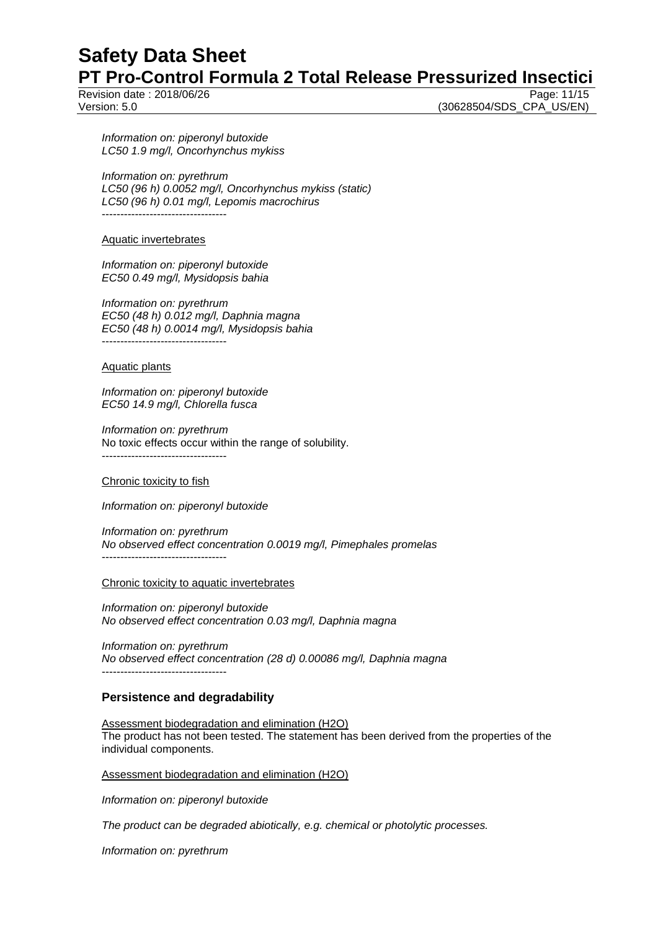# **Safety Data Sheet**

**PT Pro-Control Formula 2 Total Release Pressurized Insectici**

Revision date : 2018/06/26 Page: 11/15

Version: 5.0 (30628504/SDS\_CPA\_US/EN)

*Information on: piperonyl butoxide LC50 1.9 mg/l, Oncorhynchus mykiss*

*Information on: pyrethrum LC50 (96 h) 0.0052 mg/l, Oncorhynchus mykiss (static) LC50 (96 h) 0.01 mg/l, Lepomis macrochirus* ----------------------------------

Aquatic invertebrates

*Information on: piperonyl butoxide EC50 0.49 mg/l, Mysidopsis bahia*

*Information on: pyrethrum EC50 (48 h) 0.012 mg/l, Daphnia magna EC50 (48 h) 0.0014 mg/l, Mysidopsis bahia* ----------------------------------

#### Aquatic plants

*Information on: piperonyl butoxide EC50 14.9 mg/l, Chlorella fusca*

*Information on: pyrethrum* No toxic effects occur within the range of solubility. ----------------------------------

#### Chronic toxicity to fish

*Information on: piperonyl butoxide*

*Information on: pyrethrum No observed effect concentration 0.0019 mg/l, Pimephales promelas* ----------------------------------

Chronic toxicity to aquatic invertebrates

*Information on: piperonyl butoxide No observed effect concentration 0.03 mg/l, Daphnia magna*

*Information on: pyrethrum No observed effect concentration (28 d) 0.00086 mg/l, Daphnia magna* ----------------------------------

# **Persistence and degradability**

Assessment biodegradation and elimination (H2O) The product has not been tested. The statement has been derived from the properties of the individual components.

Assessment biodegradation and elimination (H2O)

*Information on: piperonyl butoxide*

*The product can be degraded abiotically, e.g. chemical or photolytic processes.*

*Information on: pyrethrum*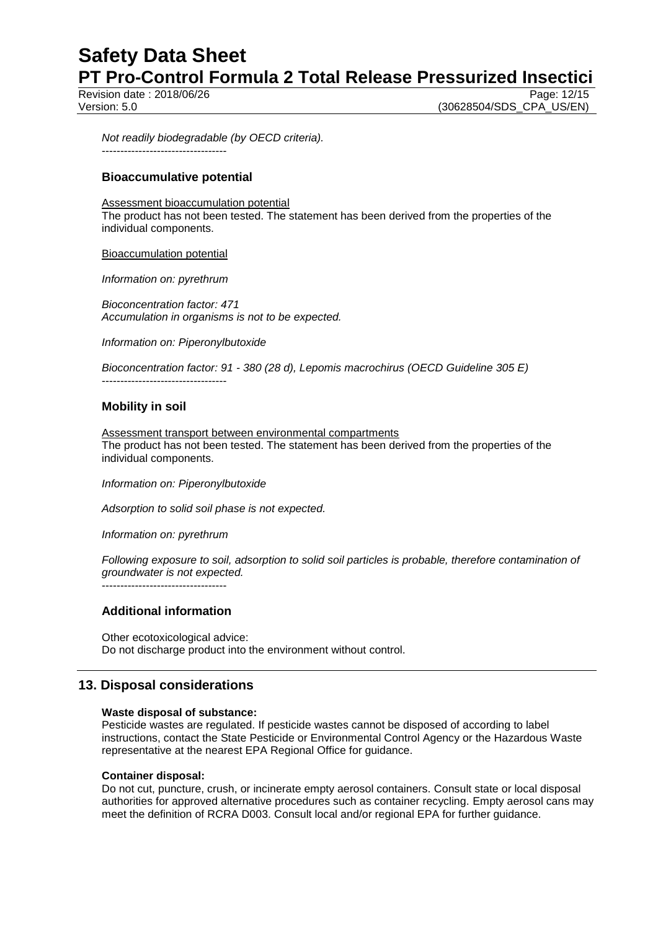# **Safety Data Sheet PT Pro-Control Formula 2 Total Release Pressurized Insectici**

Revision date : 2018/06/26 Page: 12/15

Version: 5.0 (30628504/SDS\_CPA\_US/EN)

*Not readily biodegradable (by OECD criteria).* ----------------------------------

### **Bioaccumulative potential**

Assessment bioaccumulation potential

The product has not been tested. The statement has been derived from the properties of the individual components.

Bioaccumulation potential

*Information on: pyrethrum*

----------------------------------

*Bioconcentration factor: 471 Accumulation in organisms is not to be expected.*

*Information on: Piperonylbutoxide*

*Bioconcentration factor: 91 - 380 (28 d), Lepomis macrochirus (OECD Guideline 305 E)*

#### **Mobility in soil**

Assessment transport between environmental compartments The product has not been tested. The statement has been derived from the properties of the individual components.

*Information on: Piperonylbutoxide*

*Adsorption to solid soil phase is not expected.*

*Information on: pyrethrum*

*Following exposure to soil, adsorption to solid soil particles is probable, therefore contamination of groundwater is not expected.* ----------------------------------

**Additional information**

Other ecotoxicological advice: Do not discharge product into the environment without control.

## **13. Disposal considerations**

#### **Waste disposal of substance:**

Pesticide wastes are regulated. If pesticide wastes cannot be disposed of according to label instructions, contact the State Pesticide or Environmental Control Agency or the Hazardous Waste representative at the nearest EPA Regional Office for guidance.

#### **Container disposal:**

Do not cut, puncture, crush, or incinerate empty aerosol containers. Consult state or local disposal authorities for approved alternative procedures such as container recycling. Empty aerosol cans may meet the definition of RCRA D003. Consult local and/or regional EPA for further guidance.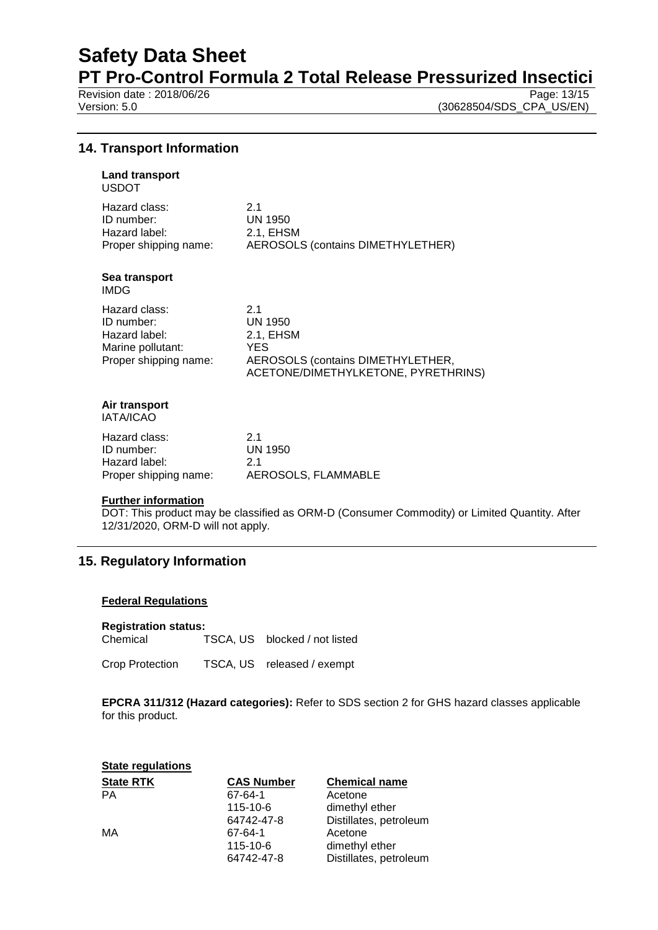# **Safety Data Sheet**

**PT Pro-Control Formula 2 Total Release Pressurized Insectici**<br>Revision date : 2018/06/26

Revision date : 2018/06/26<br>Version: 5.0

(30628504/SDS\_CPA\_US/EN)

### **14. Transport Information**

#### **Land transport** USDOT

| Hazard class:         | 21                                       |
|-----------------------|------------------------------------------|
| ID number:            | UN 1950                                  |
| Hazard label:         | 2.1. EHSM                                |
| Proper shipping name: | <b>AEROSOLS (contains DIMETHYLETHER)</b> |

#### **Sea transport** IMDG

| Hazard class:         | 21                                  |
|-----------------------|-------------------------------------|
| ID number:            | UN 1950                             |
| Hazard label:         | 2.1. EHSM                           |
| Marine pollutant:     | YES.                                |
| Proper shipping name: | AEROSOLS (contains DIMETHYLETHER,   |
|                       | ACETONE/DIMETHYLKETONE, PYRETHRINS) |

# **Air transport**

IATA/ICAO

| Hazard class:         | 21                  |
|-----------------------|---------------------|
| ID number:            | UN 1950             |
| Hazard label:         | 21                  |
| Proper shipping name: | AEROSOLS, FLAMMABLE |

#### **Further information**

DOT: This product may be classified as ORM-D (Consumer Commodity) or Limited Quantity. After 12/31/2020, ORM-D will not apply.

# **15. Regulatory Information**

#### **Federal Regulations**

#### **Registration status:**

Chemical TSCA, US blocked / not listed

Crop Protection TSCA, US released / exempt

**EPCRA 311/312 (Hazard categories):** Refer to SDS section 2 for GHS hazard classes applicable for this product.

#### **State regulations**

| <b>State RTK</b> | <b>CAS Number</b> | <b>Chemical name</b>   |
|------------------|-------------------|------------------------|
| <b>PA</b>        | 67-64-1           | Acetone                |
|                  | 115-10-6          | dimethyl ether         |
|                  | 64742-47-8        | Distillates, petroleum |
| МA               | 67-64-1           | Acetone                |
|                  | 115-10-6          | dimethyl ether         |
|                  | 64742-47-8        | Distillates, petroleum |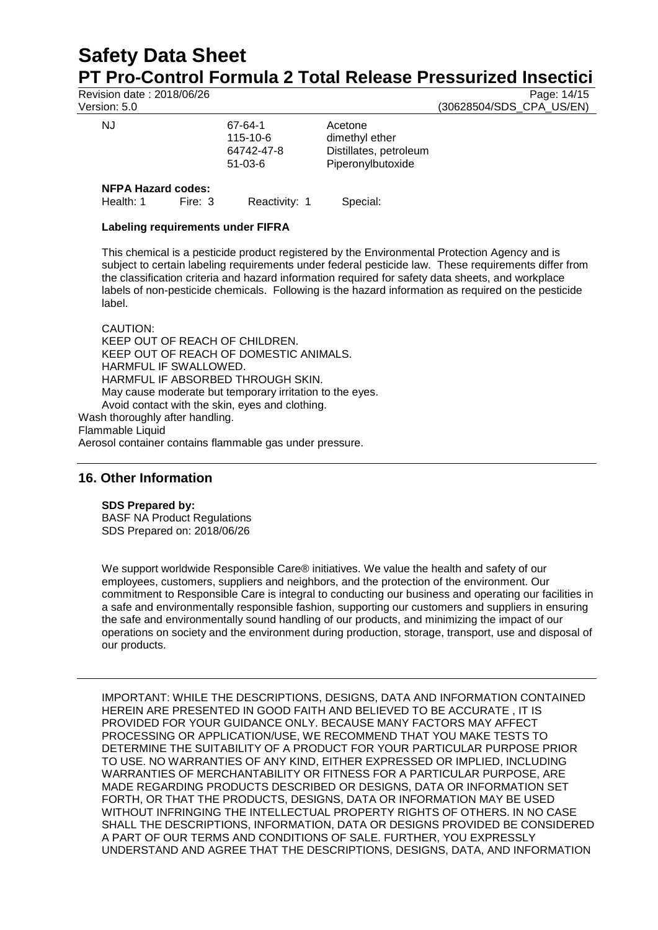# **Safety Data Sheet PT Pro-Control Formula 2 Total Release Pressurized Insectici**

Revision date : 2018/06/26 Page: 14/15<br>Version: 5.0 (30628504/SDS CPA US/EN) (30628504/SDS\_CPA\_US/EN)

| טוטוטוע                   |         |                                                |                                                                          |
|---------------------------|---------|------------------------------------------------|--------------------------------------------------------------------------|
| NJ                        |         | 67-64-1<br>115-10-6<br>64742-47-8<br>$51-03-6$ | Acetone<br>dimethyl ether<br>Distillates, petroleum<br>Piperonylbutoxide |
| <b>NFPA Hazard codes:</b> |         |                                                |                                                                          |
| Health: 1                 | Fire: 3 | Reactivity: 1                                  | Special:                                                                 |

# **Labeling requirements under FIFRA**

This chemical is a pesticide product registered by the Environmental Protection Agency and is subject to certain labeling requirements under federal pesticide law. These requirements differ from the classification criteria and hazard information required for safety data sheets, and workplace labels of non-pesticide chemicals. Following is the hazard information as required on the pesticide label.

CAUTION: KEEP OUT OF REACH OF CHILDREN. KEEP OUT OF REACH OF DOMESTIC ANIMALS. HARMFUL IF SWALLOWED. HARMFUL IF ABSORBED THROUGH SKIN. May cause moderate but temporary irritation to the eyes. Avoid contact with the skin, eyes and clothing. Wash thoroughly after handling. Flammable Liquid

Aerosol container contains flammable gas under pressure.

## **16. Other Information**

#### **SDS Prepared by:**

BASF NA Product Regulations SDS Prepared on: 2018/06/26

We support worldwide Responsible Care® initiatives. We value the health and safety of our employees, customers, suppliers and neighbors, and the protection of the environment. Our commitment to Responsible Care is integral to conducting our business and operating our facilities in a safe and environmentally responsible fashion, supporting our customers and suppliers in ensuring the safe and environmentally sound handling of our products, and minimizing the impact of our operations on society and the environment during production, storage, transport, use and disposal of our products.

IMPORTANT: WHILE THE DESCRIPTIONS, DESIGNS, DATA AND INFORMATION CONTAINED HEREIN ARE PRESENTED IN GOOD FAITH AND BELIEVED TO BE ACCURATE , IT IS PROVIDED FOR YOUR GUIDANCE ONLY. BECAUSE MANY FACTORS MAY AFFECT PROCESSING OR APPLICATION/USE, WE RECOMMEND THAT YOU MAKE TESTS TO DETERMINE THE SUITABILITY OF A PRODUCT FOR YOUR PARTICULAR PURPOSE PRIOR TO USE. NO WARRANTIES OF ANY KIND, EITHER EXPRESSED OR IMPLIED, INCLUDING WARRANTIES OF MERCHANTABILITY OR FITNESS FOR A PARTICULAR PURPOSE, ARE MADE REGARDING PRODUCTS DESCRIBED OR DESIGNS, DATA OR INFORMATION SET FORTH, OR THAT THE PRODUCTS, DESIGNS, DATA OR INFORMATION MAY BE USED WITHOUT INFRINGING THE INTELLECTUAL PROPERTY RIGHTS OF OTHERS. IN NO CASE SHALL THE DESCRIPTIONS, INFORMATION, DATA OR DESIGNS PROVIDED BE CONSIDERED A PART OF OUR TERMS AND CONDITIONS OF SALE. FURTHER, YOU EXPRESSLY UNDERSTAND AND AGREE THAT THE DESCRIPTIONS, DESIGNS, DATA, AND INFORMATION